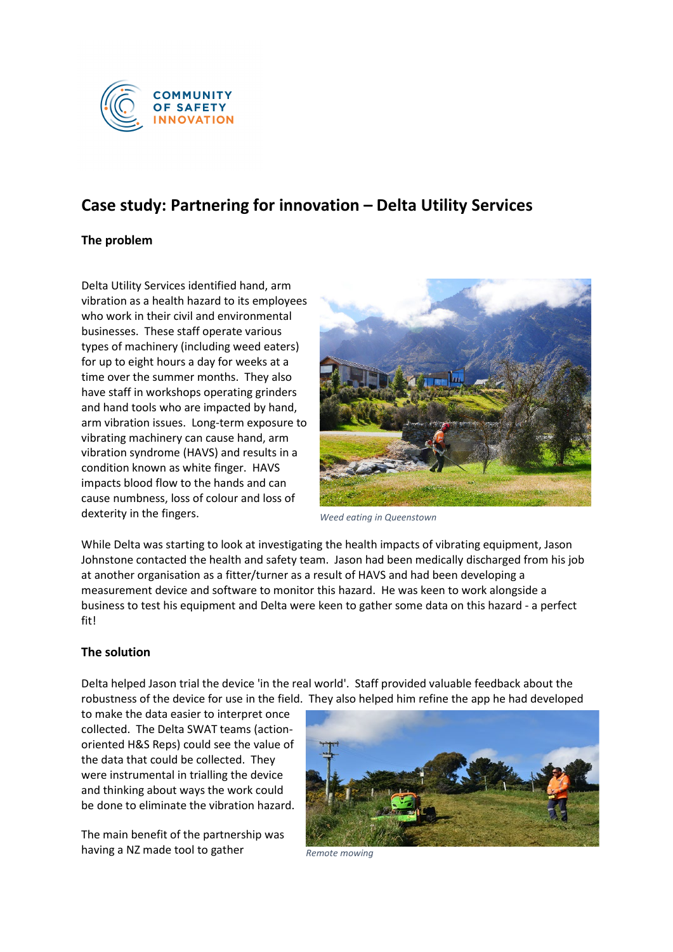

## **Case study: Partnering for innovation – Delta Utility Services**

## **The problem**

Delta Utility Services identified hand, arm vibration as a health hazard to its employees who work in their civil and environmental businesses. These staff operate various types of machinery (including weed eaters) for up to eight hours a day for weeks at a time over the summer months. They also have staff in workshops operating grinders and hand tools who are impacted by hand, arm vibration issues. Long-term exposure to vibrating machinery can cause hand, arm vibration syndrome (HAVS) and results in a condition known as white finger. HAVS impacts blood flow to the hands and can cause numbness, loss of colour and loss of dexterity in the fingers.



*Weed eating in Queenstown*

While Delta was starting to look at investigating the health impacts of vibrating equipment, Jason Johnstone contacted the health and safety team. Jason had been medically discharged from his job at another organisation as a fitter/turner as a result of HAVS and had been developing a measurement device and software to monitor this hazard. He was keen to work alongside a business to test his equipment and Delta were keen to gather some data on this hazard - a perfect fit!

## **The solution**

Delta helped Jason trial the device 'in the real world'. Staff provided valuable feedback about the robustness of the device for use in the field. They also helped him refine the app he had developed

to make the data easier to interpret once collected. The Delta SWAT teams (actionoriented H&S Reps) could see the value of the data that could be collected. They were instrumental in trialling the device and thinking about ways the work could be done to eliminate the vibration hazard.

The main benefit of the partnership was having a NZ made tool to gather



*Remote mowing*